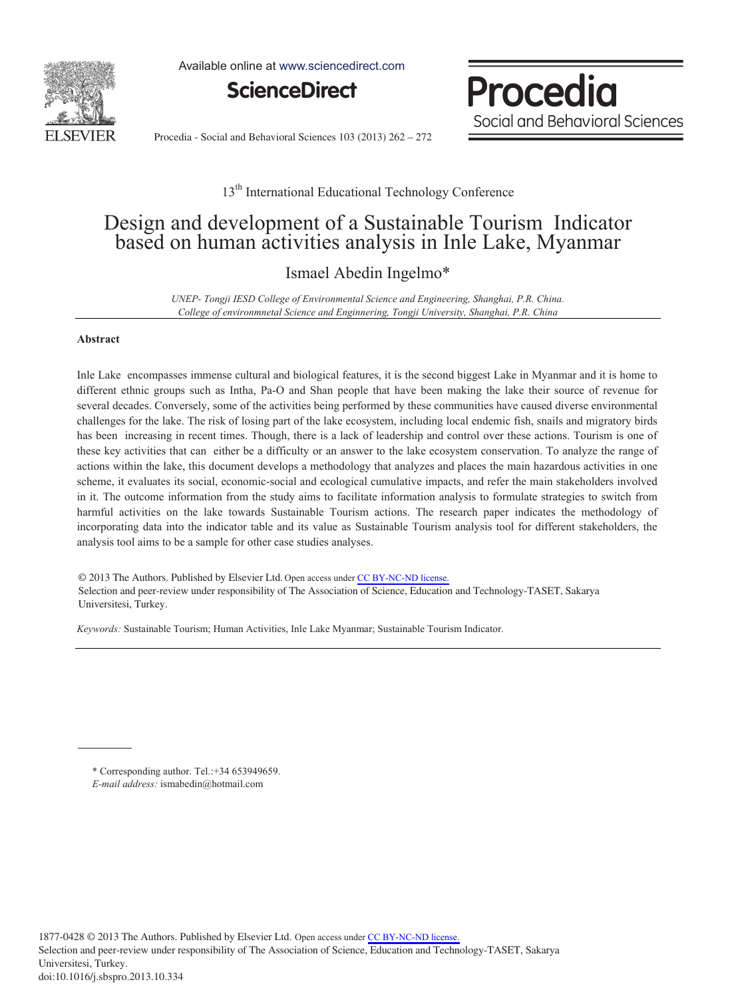

Available online at www.sciencedirect.com



Procedia Social and Behavioral Sciences

Procedia - Social and Behavioral Sciences 103 (2013) 262 – 272

#### 13<sup>th</sup> International Educational Technology Conference

## Design and development of a Sustainable Tourism Indicator based on human activities analysis in Inle Lake, Myanmar

### Ismael Abedin Ingelmo\*

*UNEP- Tongji IESD College of Environmental Science and Engineering, Shanghai, P.R. China. College of environmnetal Science and Enginnering, Tongji University, Shanghai, P.R. China* 

#### **Abstract**

Inle Lake encompasses immense cultural and biological features, it is the second biggest Lake in Myanmar and it is home to different ethnic groups such as Intha, Pa-O and Shan people that have been making the lake their source of revenue for several decades. Conversely, some of the activities being performed by these communities have caused diverse environmental challenges for the lake. The risk of losing part of the lake ecosystem, including local endemic fish, snails and migratory birds has been increasing in recent times. Though, there is a lack of leadership and control over these actions. Tourism is one of these key activities that can either be a difficulty or an answer to the lake ecosystem conservation. To analyze the range of actions within the lake, this document develops a methodology that analyzes and places the main hazardous activities in one scheme, it evaluates its social, economic-social and ecological cumulative impacts, and refer the main stakeholders involved in it. The outcome information from the study aims to facilitate information analysis to formulate strategies to switch from harmful activities on the lake towards Sustainable Tourism actions. The research paper indicates the methodology of incorporating data into the indicator table and its value as Sustainable Tourism analysis tool for different stakeholders, the analysis tool aims to be a sample for other case studies analyses.

© 2013 The Authors. Published by Elsevier Ltd. © 2013 The Authors. Published by Elsevier Ltd. Open access under CC [BY-NC-ND](http://creativecommons.org/licenses/by-nc-nd/3.0/) license. Selection and peer-review under responsibility of The Association of Science, Education and Technology-TASET, Sakarya Universitesi, Turkey. Universitesi, Turkey.

*Keywords:* Sustainable Tourism; Human Activities, Inle Lake Myanmar; Sustainable Tourism Indicator.

<sup>\*</sup> Corresponding author. Tel.:+34 653949659. *E-mail address:* ismabedin@hotmail.com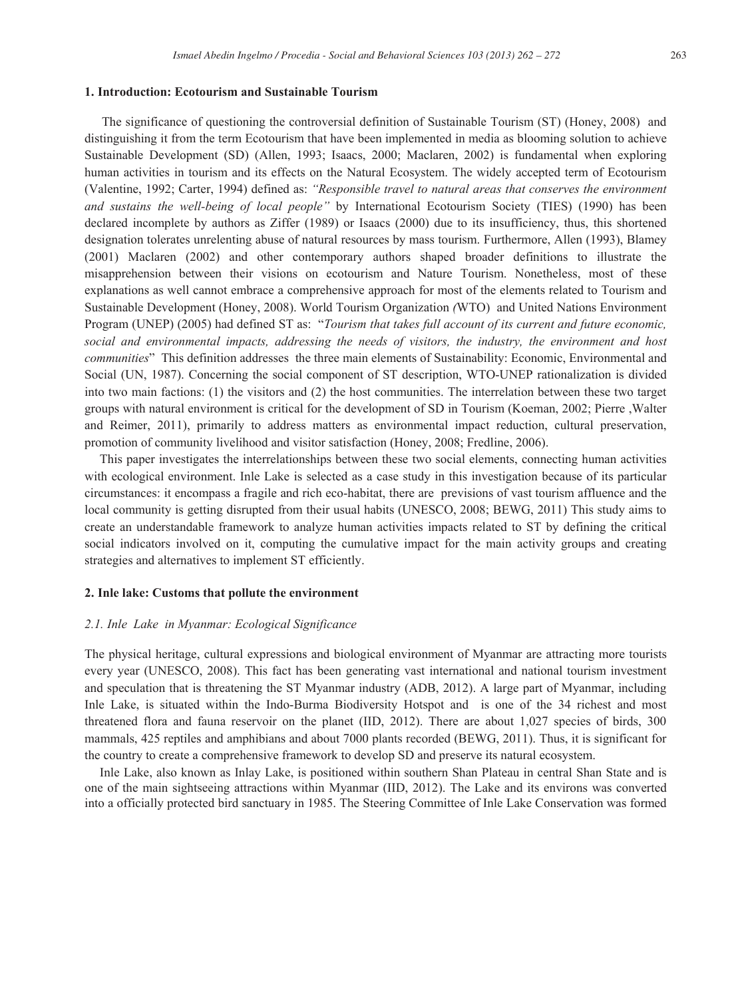#### **1. Introduction: Ecotourism and Sustainable Tourism**

The significance of questioning the controversial definition of Sustainable Tourism (ST) (Honey, 2008) and distinguishing it from the term Ecotourism that have been implemented in media as blooming solution to achieve Sustainable Development (SD) (Allen, 1993; Isaacs, 2000; Maclaren, 2002) is fundamental when exploring human activities in tourism and its effects on the Natural Ecosystem. The widely accepted term of Ecotourism (Valentine, 1992; Carter, 1994) defined as: *"Responsible travel to natural areas that conserves the environment and sustains the well-being of local people"* by International Ecotourism Society (TIES) (1990) has been declared incomplete by authors as Ziffer (1989) or Isaacs (2000) due to its insufficiency, thus, this shortened designation tolerates unrelenting abuse of natural resources by mass tourism. Furthermore, Allen (1993), Blamey (2001) Maclaren (2002) and other contemporary authors shaped broader definitions to illustrate the misapprehension between their visions on ecotourism and Nature Tourism. Nonetheless, most of these explanations as well cannot embrace a comprehensive approach for most of the elements related to Tourism and Sustainable Development (Honey, 2008). World Tourism Organization *(*WTO) and United Nations Environment Program (UNEP) (2005) had defined ST as: "*Tourism that takes full account of its current and future economic, social and environmental impacts, addressing the needs of visitors, the industry, the environment and host communities*" This definition addresses the three main elements of Sustainability: Economic, Environmental and Social (UN, 1987). Concerning the social component of ST description, WTO-UNEP rationalization is divided into two main factions: (1) the visitors and (2) the host communities. The interrelation between these two target groups with natural environment is critical for the development of SD in Tourism (Koeman, 2002; Pierre ,Walter and Reimer, 2011), primarily to address matters as environmental impact reduction, cultural preservation, promotion of community livelihood and visitor satisfaction (Honey, 2008; Fredline, 2006).

This paper investigates the interrelationships between these two social elements, connecting human activities with ecological environment. Inle Lake is selected as a case study in this investigation because of its particular circumstances: it encompass a fragile and rich eco-habitat, there are previsions of vast tourism affluence and the local community is getting disrupted from their usual habits (UNESCO, 2008; BEWG, 2011) This study aims to create an understandable framework to analyze human activities impacts related to ST by defining the critical social indicators involved on it, computing the cumulative impact for the main activity groups and creating strategies and alternatives to implement ST efficiently.

#### **2. Inle lake: Customs that pollute the environment**

#### *2.1. Inle Lake in Myanmar: Ecological Significance*

The physical heritage, cultural expressions and biological environment of Myanmar are attracting more tourists every year (UNESCO, 2008). This fact has been generating vast international and national tourism investment and speculation that is threatening the ST Myanmar industry (ADB, 2012). A large part of Myanmar, including Inle Lake, is situated within the Indo-Burma Biodiversity Hotspot and is one of the 34 richest and most threatened flora and fauna reservoir on the planet (IID, 2012). There are about 1,027 species of birds, 300 mammals, 425 reptiles and amphibians and about 7000 plants recorded (BEWG, 2011). Thus, it is significant for the country to create a comprehensive framework to develop SD and preserve its natural ecosystem.

Inle Lake, also known as Inlay Lake, is positioned within southern Shan Plateau in central Shan State and is one of the main sightseeing attractions within Myanmar (IID, 2012). The Lake and its environs was converted into a officially protected bird sanctuary in 1985. The Steering Committee of Inle Lake Conservation was formed